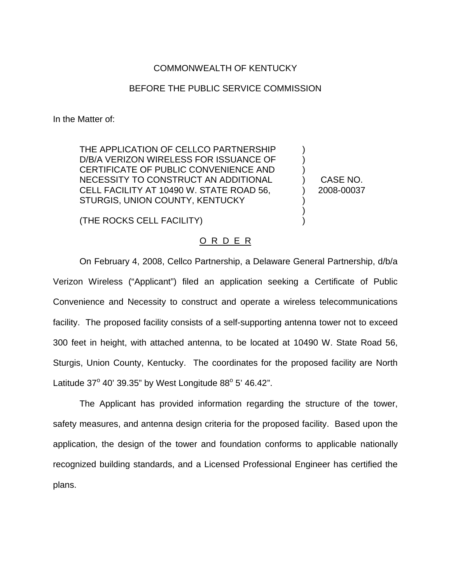## COMMONWEALTH OF KENTUCKY

## BEFORE THE PUBLIC SERVICE COMMISSION

In the Matter of:

THE APPLICATION OF CELLCO PARTNERSHIP D/B/A VERIZON WIRELESS FOR ISSUANCE OF CERTIFICATE OF PUBLIC CONVENIENCE AND NECESSITY TO CONSTRUCT AN ADDITIONAL CELL FACILITY AT 10490 W. STATE ROAD 56, STURGIS, UNION COUNTY, KENTUCKY

CASE NO. 2008-00037

) ) ) ) ) ) ) )

(THE ROCKS CELL FACILITY)

## O R D E R

On February 4, 2008, Cellco Partnership, a Delaware General Partnership, d/b/a Verizon Wireless ("Applicant") filed an application seeking a Certificate of Public Convenience and Necessity to construct and operate a wireless telecommunications facility. The proposed facility consists of a self-supporting antenna tower not to exceed 300 feet in height, with attached antenna, to be located at 10490 W. State Road 56, Sturgis, Union County, Kentucky. The coordinates for the proposed facility are North Latitude  $37^{\circ}$  40' 39.35" by West Longitude 88 $^{\circ}$  5' 46.42".

The Applicant has provided information regarding the structure of the tower, safety measures, and antenna design criteria for the proposed facility. Based upon the application, the design of the tower and foundation conforms to applicable nationally recognized building standards, and a Licensed Professional Engineer has certified the plans.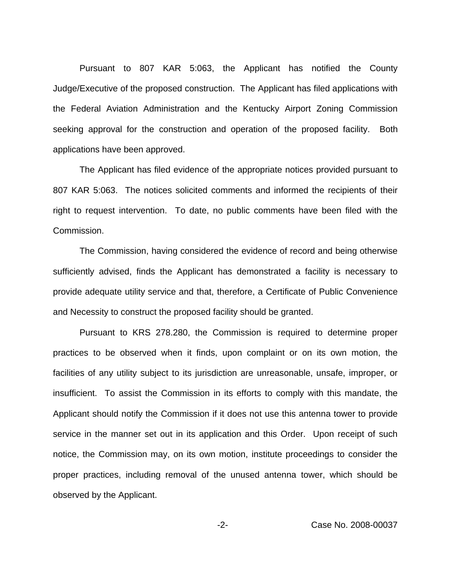Pursuant to 807 KAR 5:063, the Applicant has notified the County Judge/Executive of the proposed construction. The Applicant has filed applications with the Federal Aviation Administration and the Kentucky Airport Zoning Commission seeking approval for the construction and operation of the proposed facility. Both applications have been approved.

The Applicant has filed evidence of the appropriate notices provided pursuant to 807 KAR 5:063. The notices solicited comments and informed the recipients of their right to request intervention. To date, no public comments have been filed with the Commission.

The Commission, having considered the evidence of record and being otherwise sufficiently advised, finds the Applicant has demonstrated a facility is necessary to provide adequate utility service and that, therefore, a Certificate of Public Convenience and Necessity to construct the proposed facility should be granted.

Pursuant to KRS 278.280, the Commission is required to determine proper practices to be observed when it finds, upon complaint or on its own motion, the facilities of any utility subject to its jurisdiction are unreasonable, unsafe, improper, or insufficient. To assist the Commission in its efforts to comply with this mandate, the Applicant should notify the Commission if it does not use this antenna tower to provide service in the manner set out in its application and this Order. Upon receipt of such notice, the Commission may, on its own motion, institute proceedings to consider the proper practices, including removal of the unused antenna tower, which should be observed by the Applicant.

-2- Case No. 2008-00037